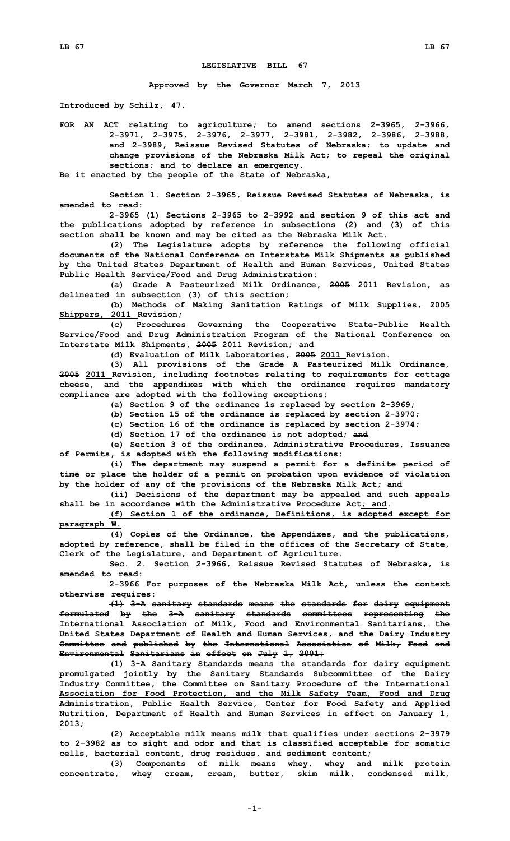## **LEGISLATIVE BILL 67**

**Approved by the Governor March 7, 2013**

**Introduced by Schilz, 47.**

**FOR AN ACT relating to agriculture; to amend sections 2-3965, 2-3966, 2-3971, 2-3975, 2-3976, 2-3977, 2-3981, 2-3982, 2-3986, 2-3988, and 2-3989, Reissue Revised Statutes of Nebraska; to update and change provisions of the Nebraska Milk Act; to repeal the original sections; and to declare an emergency.**

**Be it enacted by the people of the State of Nebraska,**

**Section 1. Section 2-3965, Reissue Revised Statutes of Nebraska, is amended to read:**

**2-3965 (1) Sections 2-3965 to 2-3992 and section 9 of this act and the publications adopted by reference in subsections (2) and (3) of this section shall be known and may be cited as the Nebraska Milk Act.**

**(2) The Legislature adopts by reference the following official documents of the National Conference on Interstate Milk Shipments as published by the United States Department of Health and Human Services, United States Public Health Service/Food and Drug Administration:**

**(a) Grade A Pasteurized Milk Ordinance, 2005 2011 Revision, as delineated in subsection (3) of this section;**

**(b) Methods of Making Sanitation Ratings of Milk Supplies, 2005 Shippers, 2011 Revision;**

**(c) Procedures Governing the Cooperative State-Public Health Service/Food and Drug Administration Program of the National Conference on Interstate Milk Shipments, 2005 2011 Revision; and**

**(d) Evaluation of Milk Laboratories, 2005 2011 Revision.**

**(3) All provisions of the Grade <sup>A</sup> Pasteurized Milk Ordinance, 2005 2011 Revision, including footnotes relating to requirements for cottage cheese, and the appendixes with which the ordinance requires mandatory compliance are adopted with the following exceptions:**

**(a) Section 9 of the ordinance is replaced by section 2-3969;**

**(b) Section 15 of the ordinance is replaced by section 2-3970;**

**(c) Section 16 of the ordinance is replaced by section 2-3974;**

**(d) Section 17 of the ordinance is not adopted; and**

**(e) Section 3 of the ordinance, Administrative Procedures, Issuance of Permits, is adopted with the following modifications:**

**(i) The department may suspend <sup>a</sup> permit for <sup>a</sup> definite period of time or place the holder of <sup>a</sup> permit on probation upon evidence of violation by the holder of any of the provisions of the Nebraska Milk Act; and**

**(ii) Decisions of the department may be appealed and such appeals shall be in accordance with the Administrative Procedure Act; and.**

**(f) Section 1 of the ordinance, Definitions, is adopted except for paragraph W.**

**(4) Copies of the Ordinance, the Appendixes, and the publications, adopted by reference, shall be filed in the offices of the Secretary of State, Clerk of the Legislature, and Department of Agriculture.**

**Sec. 2. Section 2-3966, Reissue Revised Statutes of Nebraska, is amended to read:**

**2-3966 For purposes of the Nebraska Milk Act, unless the context otherwise requires:**

**(1) 3-A sanitary standards means the standards for dairy equipment formulated by the 3-A sanitary standards committees representing the International Association of Milk, Food and Environmental Sanitarians, the United States Department of Health and Human Services, and the Dairy Industry Committee and published by the International Association of Milk, Food and Environmental Sanitarians in effect on July 1, 2001;**

**(1) 3-A Sanitary Standards means the standards for dairy equipment promulgated jointly by the Sanitary Standards Subcommittee of the Dairy Industry Committee, the Committee on Sanitary Procedure of the International Association for Food Protection, and the Milk Safety Team, Food and Drug Administration, Public Health Service, Center for Food Safety and Applied Nutrition, Department of Health and Human Services in effect on January 1, 2013;**

**(2) Acceptable milk means milk that qualifies under sections 2-3979 to 2-3982 as to sight and odor and that is classified acceptable for somatic cells, bacterial content, drug residues, and sediment content;**

**(3) Components of milk means whey, whey and milk protein concentrate, whey cream, cream, butter, skim milk, condensed milk,**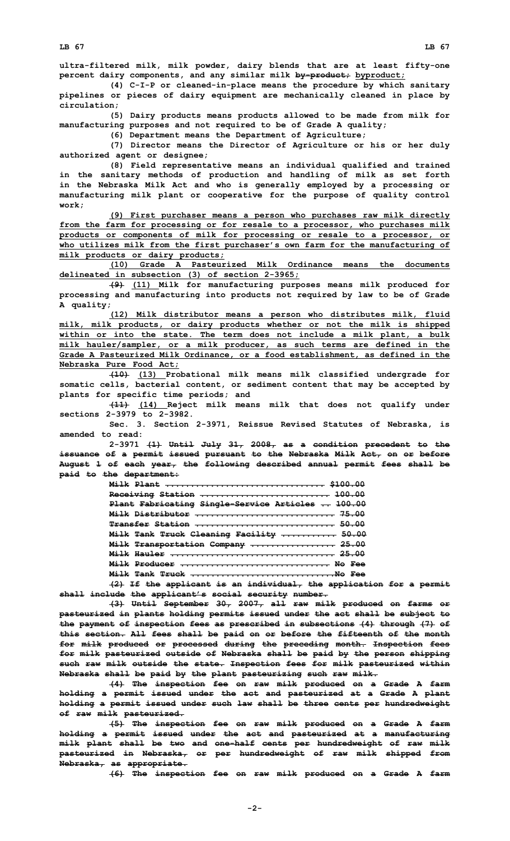**ultra-filtered milk, milk powder, dairy blends that are at least fifty-one percent dairy components, and any similar milk by-product; byproduct;**

**(4) C-I-P or cleaned-in-place means the procedure by which sanitary pipelines or pieces of dairy equipment are mechanically cleaned in place by circulation;**

**(5) Dairy products means products allowed to be made from milk for manufacturing purposes and not required to be of Grade A quality;**

**(6) Department means the Department of Agriculture;**

**(7) Director means the Director of Agriculture or his or her duly authorized agent or designee;**

**(8) Field representative means an individual qualified and trained in the sanitary methods of production and handling of milk as set forth in the Nebraska Milk Act and who is generally employed by <sup>a</sup> processing or manufacturing milk plant or cooperative for the purpose of quality control work;**

**(9) First purchaser means <sup>a</sup> person who purchases raw milk directly from the farm for processing or for resale to <sup>a</sup> processor, who purchases milk products or components of milk for processing or resale to <sup>a</sup> processor, or who utilizes milk from the first purchaser's own farm for the manufacturing of milk products or dairy products;**

**(10) Grade A Pasteurized Milk Ordinance means the documents delineated in subsection (3) of section 2-3965;**

**(9) (11) Milk for manufacturing purposes means milk produced for processing and manufacturing into products not required by law to be of Grade A quality;**

**(12) Milk distributor means <sup>a</sup> person who distributes milk, fluid milk, milk products, or dairy products whether or not the milk is shipped within or into the state. The term does not include <sup>a</sup> milk plant, <sup>a</sup> bulk milk hauler/sampler, or <sup>a</sup> milk producer, as such terms are defined in the Grade A Pasteurized Milk Ordinance, or <sup>a</sup> food establishment, as defined in the Nebraska Pure Food Act;**

**(10) (13) Probational milk means milk classified undergrade for somatic cells, bacterial content, or sediment content that may be accepted by plants for specific time periods; and**

**(11) (14) Reject milk means milk that does not qualify under sections 2-3979 to 2-3982.**

**Sec. 3. Section 2-3971, Reissue Revised Statutes of Nebraska, is amended to read:**

**2-3971 (1) Until July 31, 2008, as <sup>a</sup> condition precedent to the issuance of <sup>a</sup> permit issued pursuant to the Nebraska Milk Act, on or before August 1 of each year, the following described annual permit fees shall be paid to the department:**

| <u> Milk Plant  \$100.00</u>                                              |
|---------------------------------------------------------------------------|
| Receiving Station  100.00                                                 |
| Plant Fabricating Single-Service Articles  100.00                         |
| Milk Distributor  75.00                                                   |
| Transfer Station  50.00                                                   |
| Milk Tank Truck Cleaning Facility  50.00                                  |
| Milk Transportation Company  25.00                                        |
| Milk Hauler  25.00                                                        |
| Milk Producer  No Fee                                                     |
| Milk Tank Truck No Fee                                                    |
| $\overline{101}$ and the constitution is an indicated in the constitution |

**(2) If the applicant is an individual, the application for <sup>a</sup> permit shall include the applicant's social security number.**

**(3) Until September 30, 2007, all raw milk produced on farms or pasteurized in plants holding permits issued under the act shall be subject to the payment of inspection fees as prescribed in subsections (4) through (7) of this section. All fees shall be paid on or before the fifteenth of the month for milk produced or processed during the preceding month. Inspection fees for milk pasteurized outside of Nebraska shall be paid by the person shipping such raw milk outside the state. Inspection fees for milk pasteurized within Nebraska shall be paid by the plant pasteurizing such raw milk.**

**(4) The inspection fee on raw milk produced on <sup>a</sup> Grade <sup>A</sup> farm holding <sup>a</sup> permit issued under the act and pasteurized at <sup>a</sup> Grade A plant holding <sup>a</sup> permit issued under such law shall be three cents per hundredweight of raw milk pasteurized.**

**(5) The inspection fee on raw milk produced on <sup>a</sup> Grade <sup>A</sup> farm holding <sup>a</sup> permit issued under the act and pasteurized at <sup>a</sup> manufacturing milk plant shall be two and one-half cents per hundredweight of raw milk pasteurized in Nebraska, or per hundredweight of raw milk shipped from Nebraska, as appropriate.**

**(6) The inspection fee on raw milk produced on <sup>a</sup> Grade <sup>A</sup> farm**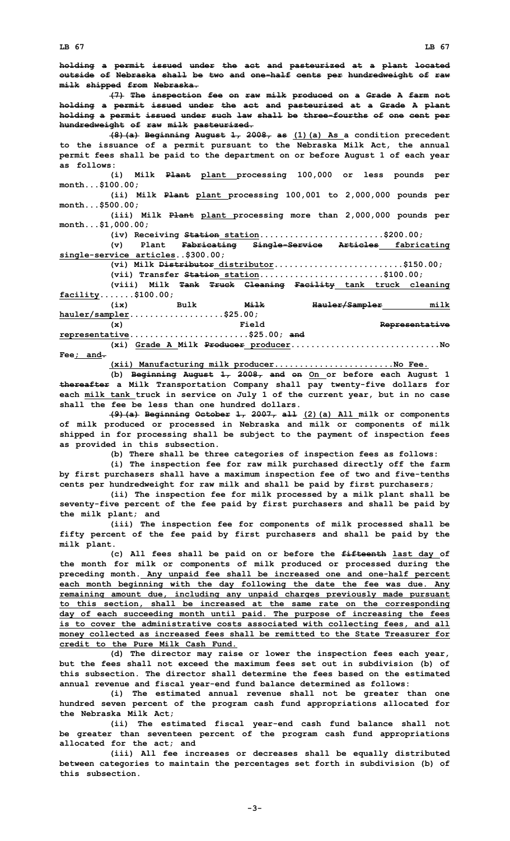**holding <sup>a</sup> permit issued under the act and pasteurized at <sup>a</sup> plant located outside of Nebraska shall be two and one-half cents per hundredweight of raw milk shipped from Nebraska. (7) The inspection fee on raw milk produced on <sup>a</sup> Grade <sup>A</sup> farm not holding <sup>a</sup> permit issued under the act and pasteurized at <sup>a</sup> Grade A plant holding <sup>a</sup> permit issued under such law shall be three-fourths of one cent per hundredweight of raw milk pasteurized. (8)(a) Beginning August 1, 2008, as (1)(a) As <sup>a</sup> condition precedent to the issuance of <sup>a</sup> permit pursuant to the Nebraska Milk Act, the annual permit fees shall be paid to the department on or before August 1 of each year as follows: (i) Milk Plant plant processing 100,000 or less pounds per month...\$100.00; (ii) Milk Plant plant processing 100,001 to 2,000,000 pounds per month...\$500.00; (iii) Milk Plant plant processing more than 2,000,000 pounds per month...\$1,000.00; (iv) Receiving Station station.........................\$200.00; (v) Plant Fabricating Single-Service Articles fabricating single-service articles..\$300.00; (vi) Milk Distributor distributor..........................\$150.00; (vii) Transfer Station station.........................\$100.00; (viii) Milk Tank Truck Cleaning Facility tank truck cleaning facility.......\$100.00; (ix) Bulk Milk Hauler/Sampler milk hauler/sampler...................\$25.00; (x) Field Representative representative........................\$25.00; and (xi) Grade <sup>A</sup> Milk Producer producer..............................No Fee; and.**

**(xii) Manufacturing milk producer........................No Fee.**

**(b) Beginning August 1, 2008, and on On or before each August 1 thereafter <sup>a</sup> Milk Transportation Company shall pay twenty-five dollars for each milk tank truck in service on July 1 of the current year, but in no case shall the fee be less than one hundred dollars.**

**(9)(a) Beginning October 1, 2007, all (2)(a) All milk or components of milk produced or processed in Nebraska and milk or components of milk shipped in for processing shall be subject to the payment of inspection fees as provided in this subsection.**

**(b) There shall be three categories of inspection fees as follows:**

**(i) The inspection fee for raw milk purchased directly off the farm by first purchasers shall have <sup>a</sup> maximum inspection fee of two and five-tenths cents per hundredweight for raw milk and shall be paid by first purchasers;**

**(ii) The inspection fee for milk processed by <sup>a</sup> milk plant shall be seventy-five percent of the fee paid by first purchasers and shall be paid by the milk plant; and**

**(iii) The inspection fee for components of milk processed shall be fifty percent of the fee paid by first purchasers and shall be paid by the milk plant.**

**(c) All fees shall be paid on or before the fifteenth last day of the month for milk or components of milk produced or processed during the preceding month. Any unpaid fee shall be increased one and one-half percent each month beginning with the day following the date the fee was due. Any remaining amount due, including any unpaid charges previously made pursuant to this section, shall be increased at the same rate on the corresponding day of each succeeding month until paid. The purpose of increasing the fees is to cover the administrative costs associated with collecting fees, and all money collected as increased fees shall be remitted to the State Treasurer for credit to the Pure Milk Cash Fund.**

**(d) The director may raise or lower the inspection fees each year, but the fees shall not exceed the maximum fees set out in subdivision (b) of this subsection. The director shall determine the fees based on the estimated annual revenue and fiscal year-end fund balance determined as follows:**

**(i) The estimated annual revenue shall not be greater than one hundred seven percent of the program cash fund appropriations allocated for the Nebraska Milk Act;**

**(ii) The estimated fiscal year-end cash fund balance shall not be greater than seventeen percent of the program cash fund appropriations allocated for the act; and**

**(iii) All fee increases or decreases shall be equally distributed between categories to maintain the percentages set forth in subdivision (b) of this subsection.**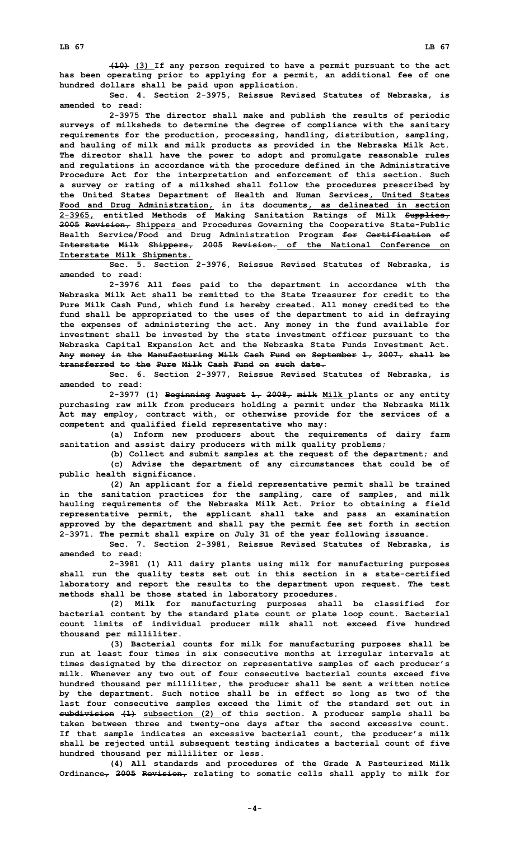**(10) (3) If any person required to have <sup>a</sup> permit pursuant to the act has been operating prior to applying for <sup>a</sup> permit, an additional fee of one hundred dollars shall be paid upon application.**

**Sec. 4. Section 2-3975, Reissue Revised Statutes of Nebraska, is amended to read:**

**2-3975 The director shall make and publish the results of periodic surveys of milksheds to determine the degree of compliance with the sanitary requirements for the production, processing, handling, distribution, sampling, and hauling of milk and milk products as provided in the Nebraska Milk Act. The director shall have the power to adopt and promulgate reasonable rules and regulations in accordance with the procedure defined in the Administrative Procedure Act for the interpretation and enforcement of this section. Such <sup>a</sup> survey or rating of <sup>a</sup> milkshed shall follow the procedures prescribed by the United States Department of Health and Human Services, United States Food and Drug Administration, in its documents, as delineated in section 2-3965, entitled Methods of Making Sanitation Ratings of Milk Supplies, 2005 Revision, Shippers and Procedures Governing the Cooperative State-Public Health Service/Food and Drug Administration Program for Certification of Interstate Milk Shippers, 2005 Revision. of the National Conference on Interstate Milk Shipments.**

**Sec. 5. Section 2-3976, Reissue Revised Statutes of Nebraska, is amended to read:**

**2-3976 All fees paid to the department in accordance with the Nebraska Milk Act shall be remitted to the State Treasurer for credit to the Pure Milk Cash Fund, which fund is hereby created. All money credited to the fund shall be appropriated to the uses of the department to aid in defraying the expenses of administering the act. Any money in the fund available for investment shall be invested by the state investment officer pursuant to the Nebraska Capital Expansion Act and the Nebraska State Funds Investment Act. Any money in the Manufacturing Milk Cash Fund on September 1, 2007, shall be transferred to the Pure Milk Cash Fund on such date.**

**Sec. 6. Section 2-3977, Reissue Revised Statutes of Nebraska, is amended to read:**

**2-3977 (1) Beginning August 1, 2008, milk Milk plants or any entity purchasing raw milk from producers holding <sup>a</sup> permit under the Nebraska Milk Act may employ, contract with, or otherwise provide for the services of <sup>a</sup> competent and qualified field representative who may:**

**(a) Inform new producers about the requirements of dairy farm sanitation and assist dairy producers with milk quality problems;**

**(b) Collect and submit samples at the request of the department; and**

**(c) Advise the department of any circumstances that could be of public health significance.**

**(2) An applicant for <sup>a</sup> field representative permit shall be trained in the sanitation practices for the sampling, care of samples, and milk hauling requirements of the Nebraska Milk Act. Prior to obtaining <sup>a</sup> field representative permit, the applicant shall take and pass an examination approved by the department and shall pay the permit fee set forth in section 2-3971. The permit shall expire on July 31 of the year following issuance.**

**Sec. 7. Section 2-3981, Reissue Revised Statutes of Nebraska, is amended to read:**

**2-3981 (1) All dairy plants using milk for manufacturing purposes shall run the quality tests set out in this section in <sup>a</sup> state-certified laboratory and report the results to the department upon request. The test methods shall be those stated in laboratory procedures.**

**(2) Milk for manufacturing purposes shall be classified for bacterial content by the standard plate count or plate loop count. Bacterial count limits of individual producer milk shall not exceed five hundred thousand per milliliter.**

**(3) Bacterial counts for milk for manufacturing purposes shall be run at least four times in six consecutive months at irregular intervals at times designated by the director on representative samples of each producer's milk. Whenever any two out of four consecutive bacterial counts exceed five hundred thousand per milliliter, the producer shall be sent <sup>a</sup> written notice by the department. Such notice shall be in effect so long as two of the last four consecutive samples exceed the limit of the standard set out in subdivision (1) subsection (2) of this section. <sup>A</sup> producer sample shall be taken between three and twenty-one days after the second excessive count. If that sample indicates an excessive bacterial count, the producer's milk shall be rejected until subsequent testing indicates <sup>a</sup> bacterial count of five hundred thousand per milliliter or less.**

**(4) All standards and procedures of the Grade <sup>A</sup> Pasteurized Milk Ordinance, 2005 Revision, relating to somatic cells shall apply to milk for**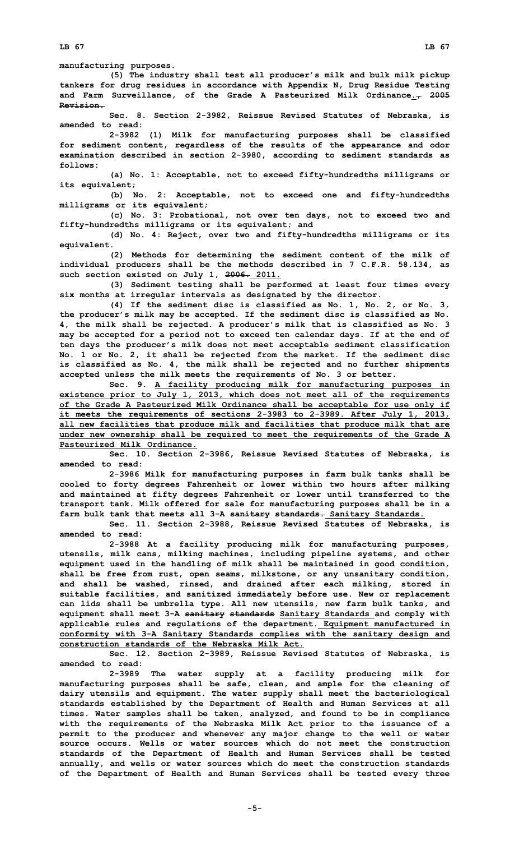**manufacturing purposes.**

**(5) The industry shall test all producer's milk and bulk milk pickup tankers for drug residues in accordance with Appendix N, Drug Residue Testing and Farm Surveillance, of the Grade A Pasteurized Milk Ordinance., 2005 Revision.**

**Sec. 8. Section 2-3982, Reissue Revised Statutes of Nebraska, is amended to read:**

**2-3982 (1) Milk for manufacturing purposes shall be classified for sediment content, regardless of the results of the appearance and odor examination described in section 2-3980, according to sediment standards as follows:**

**(a) No. 1: Acceptable, not to exceed fifty-hundredths milligrams or its equivalent;**

**(b) No. 2: Acceptable, not to exceed one and fifty-hundredths milligrams or its equivalent;**

**(c) No. 3: Probational, not over ten days, not to exceed two and fifty-hundredths milligrams or its equivalent; and**

**(d) No. 4: Reject, over two and fifty-hundredths milligrams or its equivalent.**

**(2) Methods for determining the sediment content of the milk of individual producers shall be the methods described in 7 C.F.R. 58.134, as such section existed on July 1, 2006. 2011.**

**(3) Sediment testing shall be performed at least four times every six months at irregular intervals as designated by the director.**

**(4) If the sediment disc is classified as No. 1, No. 2, or No. 3, the producer's milk may be accepted. If the sediment disc is classified as No. 4, the milk shall be rejected. <sup>A</sup> producer's milk that is classified as No. 3 may be accepted for <sup>a</sup> period not to exceed ten calendar days. If at the end of ten days the producer's milk does not meet acceptable sediment classification No. 1 or No. 2, it shall be rejected from the market. If the sediment disc is classified as No. 4, the milk shall be rejected and no further shipments accepted unless the milk meets the requirements of No. 3 or better.**

**Sec. 9. <sup>A</sup> facility producing milk for manufacturing purposes in existence prior to July 1, 2013, which does not meet all of the requirements of the Grade A Pasteurized Milk Ordinance shall be acceptable for use only if it meets the requirements of sections 2-3983 to 2-3989. After July 1, 2013, all new facilities that produce milk and facilities that produce milk that are under new ownership shall be required to meet the requirements of the Grade A Pasteurized Milk Ordinance.**

**Sec. 10. Section 2-3986, Reissue Revised Statutes of Nebraska, is amended to read:**

**2-3986 Milk for manufacturing purposes in farm bulk tanks shall be cooled to forty degrees Fahrenheit or lower within two hours after milking and maintained at fifty degrees Fahrenheit or lower until transferred to the transport tank. Milk offered for sale for manufacturing purposes shall be in <sup>a</sup> farm bulk tank that meets all 3-A sanitary standards. Sanitary Standards.**

**Sec. 11. Section 2-3988, Reissue Revised Statutes of Nebraska, is amended to read:**

**2-3988 At <sup>a</sup> facility producing milk for manufacturing purposes, utensils, milk cans, milking machines, including pipeline systems, and other equipment used in the handling of milk shall be maintained in good condition, shall be free from rust, open seams, milkstone, or any unsanitary condition, and shall be washed, rinsed, and drained after each milking, stored in suitable facilities, and sanitized immediately before use. New or replacement can lids shall be umbrella type. All new utensils, new farm bulk tanks, and equipment shall meet 3-A sanitary standards Sanitary Standards and comply with applicable rules and regulations of the department. Equipment manufactured in conformity with 3-A Sanitary Standards complies with the sanitary design and construction standards of the Nebraska Milk Act.**

**Sec. 12. Section 2-3989, Reissue Revised Statutes of Nebraska, is amended to read:**

**2-3989 The water supply at <sup>a</sup> facility producing milk for manufacturing purposes shall be safe, clean, and ample for the cleaning of dairy utensils and equipment. The water supply shall meet the bacteriological standards established by the Department of Health and Human Services at all times. Water samples shall be taken, analyzed, and found to be in compliance with the requirements of the Nebraska Milk Act prior to the issuance of <sup>a</sup> permit to the producer and whenever any major change to the well or water source occurs. Wells or water sources which do not meet the construction standards of the Department of Health and Human Services shall be tested annually, and wells or water sources which do meet the construction standards of the Department of Health and Human Services shall be tested every three**